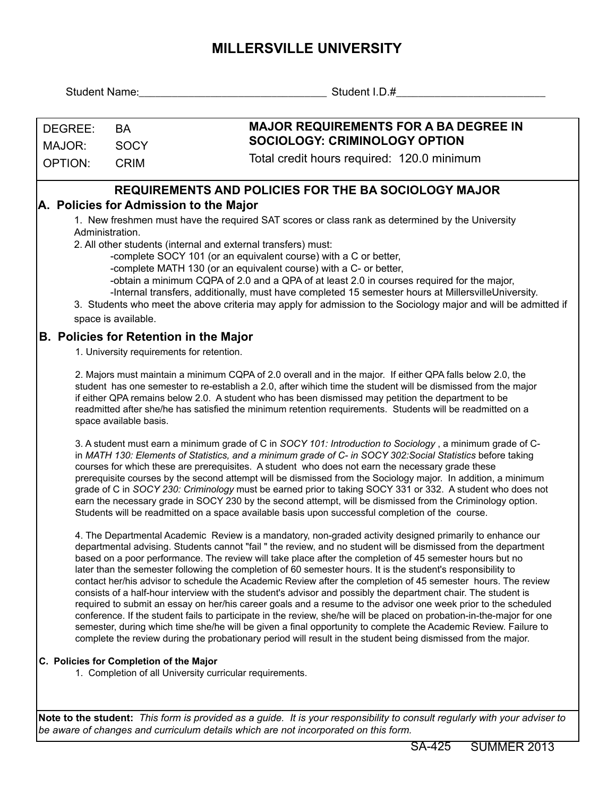## **MILLERSVILLE UNIVERSITY**

| <b>Student Name:</b>  |                                                                                                                                                                                                                                                                                                                                                                                                                                                                                                                                                                                                                                                                                                                                                                                                                                                                                                                                                                                                                                                                                                                                                                                                                                                              | Student I.D.#                                                                                                                                                                                                                                                                                                                                                                                                                                                                                                                                                                                                                                                                                                                                                                                                                                                                                                                                                                                                                                                                                                                                                                                                                             |  |  |  |  |  |  |
|-----------------------|--------------------------------------------------------------------------------------------------------------------------------------------------------------------------------------------------------------------------------------------------------------------------------------------------------------------------------------------------------------------------------------------------------------------------------------------------------------------------------------------------------------------------------------------------------------------------------------------------------------------------------------------------------------------------------------------------------------------------------------------------------------------------------------------------------------------------------------------------------------------------------------------------------------------------------------------------------------------------------------------------------------------------------------------------------------------------------------------------------------------------------------------------------------------------------------------------------------------------------------------------------------|-------------------------------------------------------------------------------------------------------------------------------------------------------------------------------------------------------------------------------------------------------------------------------------------------------------------------------------------------------------------------------------------------------------------------------------------------------------------------------------------------------------------------------------------------------------------------------------------------------------------------------------------------------------------------------------------------------------------------------------------------------------------------------------------------------------------------------------------------------------------------------------------------------------------------------------------------------------------------------------------------------------------------------------------------------------------------------------------------------------------------------------------------------------------------------------------------------------------------------------------|--|--|--|--|--|--|
| DEGREE:               | <b>BA</b>                                                                                                                                                                                                                                                                                                                                                                                                                                                                                                                                                                                                                                                                                                                                                                                                                                                                                                                                                                                                                                                                                                                                                                                                                                                    | <b>MAJOR REQUIREMENTS FOR A BA DEGREE IN</b>                                                                                                                                                                                                                                                                                                                                                                                                                                                                                                                                                                                                                                                                                                                                                                                                                                                                                                                                                                                                                                                                                                                                                                                              |  |  |  |  |  |  |
| <b>SOCY</b><br>MAJOR: |                                                                                                                                                                                                                                                                                                                                                                                                                                                                                                                                                                                                                                                                                                                                                                                                                                                                                                                                                                                                                                                                                                                                                                                                                                                              | <b>SOCIOLOGY: CRIMINOLOGY OPTION</b>                                                                                                                                                                                                                                                                                                                                                                                                                                                                                                                                                                                                                                                                                                                                                                                                                                                                                                                                                                                                                                                                                                                                                                                                      |  |  |  |  |  |  |
| <b>OPTION:</b>        | <b>CRIM</b>                                                                                                                                                                                                                                                                                                                                                                                                                                                                                                                                                                                                                                                                                                                                                                                                                                                                                                                                                                                                                                                                                                                                                                                                                                                  | Total credit hours required: 120.0 minimum                                                                                                                                                                                                                                                                                                                                                                                                                                                                                                                                                                                                                                                                                                                                                                                                                                                                                                                                                                                                                                                                                                                                                                                                |  |  |  |  |  |  |
|                       |                                                                                                                                                                                                                                                                                                                                                                                                                                                                                                                                                                                                                                                                                                                                                                                                                                                                                                                                                                                                                                                                                                                                                                                                                                                              | <b>REQUIREMENTS AND POLICIES FOR THE BA SOCIOLOGY MAJOR</b><br>A. Policies for Admission to the Major                                                                                                                                                                                                                                                                                                                                                                                                                                                                                                                                                                                                                                                                                                                                                                                                                                                                                                                                                                                                                                                                                                                                     |  |  |  |  |  |  |
|                       | Administration.<br>space is available.                                                                                                                                                                                                                                                                                                                                                                                                                                                                                                                                                                                                                                                                                                                                                                                                                                                                                                                                                                                                                                                                                                                                                                                                                       | 1. New freshmen must have the required SAT scores or class rank as determined by the University<br>2. All other students (internal and external transfers) must:<br>-complete SOCY 101 (or an equivalent course) with a C or better,<br>-complete MATH 130 (or an equivalent course) with a C- or better,<br>-obtain a minimum CQPA of 2.0 and a QPA of at least 2.0 in courses required for the major,<br>-Internal transfers, additionally, must have completed 15 semester hours at MillersvilleUniversity.<br>3. Students who meet the above criteria may apply for admission to the Sociology major and will be admitted if                                                                                                                                                                                                                                                                                                                                                                                                                                                                                                                                                                                                          |  |  |  |  |  |  |
|                       | 1. University requirements for retention.                                                                                                                                                                                                                                                                                                                                                                                                                                                                                                                                                                                                                                                                                                                                                                                                                                                                                                                                                                                                                                                                                                                                                                                                                    | <b>B. Policies for Retention in the Major</b>                                                                                                                                                                                                                                                                                                                                                                                                                                                                                                                                                                                                                                                                                                                                                                                                                                                                                                                                                                                                                                                                                                                                                                                             |  |  |  |  |  |  |
|                       | 2. Majors must maintain a minimum CQPA of 2.0 overall and in the major. If either QPA falls below 2.0, the<br>student has one semester to re-establish a 2.0, after wihich time the student will be dismissed from the major<br>if either QPA remains below 2.0. A student who has been dismissed may petition the department to be<br>readmitted after she/he has satisfied the minimum retention requirements. Students will be readmitted on a<br>space available basis.<br>3. A student must earn a minimum grade of C in SOCY 101: Introduction to Sociology, a minimum grade of C-<br>in MATH 130: Elements of Statistics, and a minimum grade of C- in SOCY 302: Social Statistics before taking<br>courses for which these are prerequisites. A student who does not earn the necessary grade these<br>prerequisite courses by the second attempt will be dismissed from the Sociology major. In addition, a minimum<br>grade of C in SOCY 230: Criminology must be earned prior to taking SOCY 331 or 332. A student who does not<br>earn the necessary grade in SOCY 230 by the second attempt, will be dismissed from the Criminology option.<br>Students will be readmitted on a space available basis upon successful completion of the course. |                                                                                                                                                                                                                                                                                                                                                                                                                                                                                                                                                                                                                                                                                                                                                                                                                                                                                                                                                                                                                                                                                                                                                                                                                                           |  |  |  |  |  |  |
|                       | C. Policies for Completion of the Major                                                                                                                                                                                                                                                                                                                                                                                                                                                                                                                                                                                                                                                                                                                                                                                                                                                                                                                                                                                                                                                                                                                                                                                                                      | 4. The Departmental Academic Review is a mandatory, non-graded activity designed primarily to enhance our<br>departmental advising. Students cannot "fail " the review, and no student will be dismissed from the department<br>based on a poor performance. The review will take place after the completion of 45 semester hours but no<br>later than the semester following the completion of 60 semester hours. It is the student's responsibility to<br>contact her/his advisor to schedule the Academic Review after the completion of 45 semester hours. The review<br>consists of a half-hour interview with the student's advisor and possibly the department chair. The student is<br>required to submit an essay on her/his career goals and a resume to the advisor one week prior to the scheduled<br>conference. If the student fails to participate in the review, she/he will be placed on probation-in-the-major for one<br>semester, during which time she/he will be given a final opportunity to complete the Academic Review. Failure to<br>complete the review during the probationary period will result in the student being dismissed from the major.<br>1. Completion of all University curricular requirements. |  |  |  |  |  |  |
|                       |                                                                                                                                                                                                                                                                                                                                                                                                                                                                                                                                                                                                                                                                                                                                                                                                                                                                                                                                                                                                                                                                                                                                                                                                                                                              | Note to the student: This form is provided as a guide. It is your responsibility to consult regularly with your adviser to<br>be aware of changes and curriculum details which are not incorporated on this form.                                                                                                                                                                                                                                                                                                                                                                                                                                                                                                                                                                                                                                                                                                                                                                                                                                                                                                                                                                                                                         |  |  |  |  |  |  |